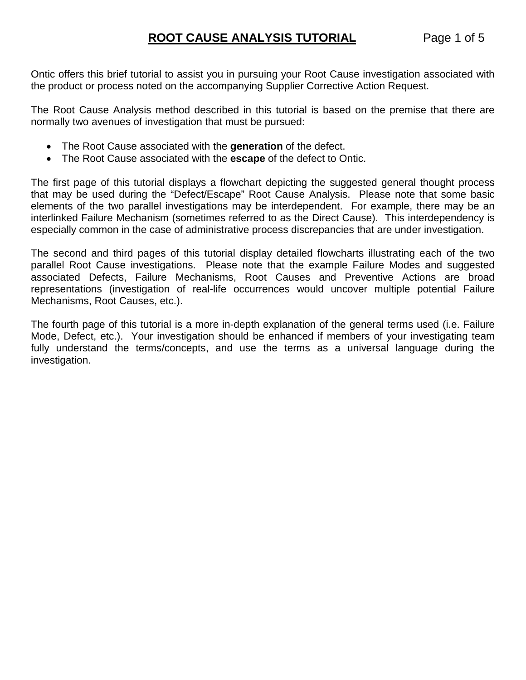Ontic offers this brief tutorial to assist you in pursuing your Root Cause investigation associated with the product or process noted on the accompanying Supplier Corrective Action Request.

The Root Cause Analysis method described in this tutorial is based on the premise that there are normally two avenues of investigation that must be pursued:

- The Root Cause associated with the **generation** of the defect.
- The Root Cause associated with the **escape** of the defect to Ontic.

The first page of this tutorial displays a flowchart depicting the suggested general thought process that may be used during the "Defect/Escape" Root Cause Analysis. Please note that some basic elements of the two parallel investigations may be interdependent. For example, there may be an interlinked Failure Mechanism (sometimes referred to as the Direct Cause). This interdependency is especially common in the case of administrative process discrepancies that are under investigation.

The second and third pages of this tutorial display detailed flowcharts illustrating each of the two parallel Root Cause investigations. Please note that the example Failure Modes and suggested associated Defects, Failure Mechanisms, Root Causes and Preventive Actions are broad representations (investigation of real-life occurrences would uncover multiple potential Failure Mechanisms, Root Causes, etc.).

The fourth page of this tutorial is a more in-depth explanation of the general terms used (i.e. Failure Mode, Defect, etc.). Your investigation should be enhanced if members of your investigating team fully understand the terms/concepts, and use the terms as a universal language during the investigation.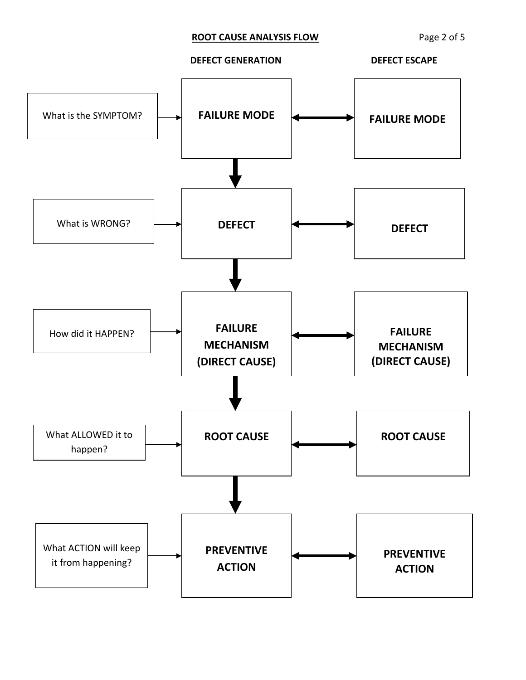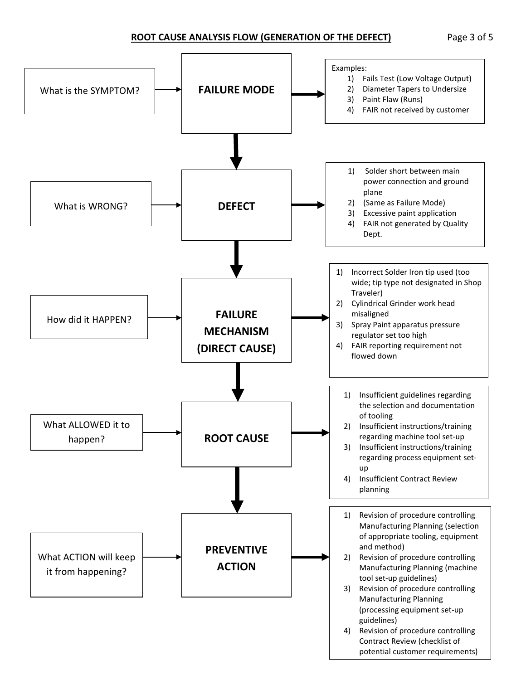#### **ROOT CAUSE ANALYSIS FLOW (GENERATION OF THE DEFECT)** Page 3 of 5

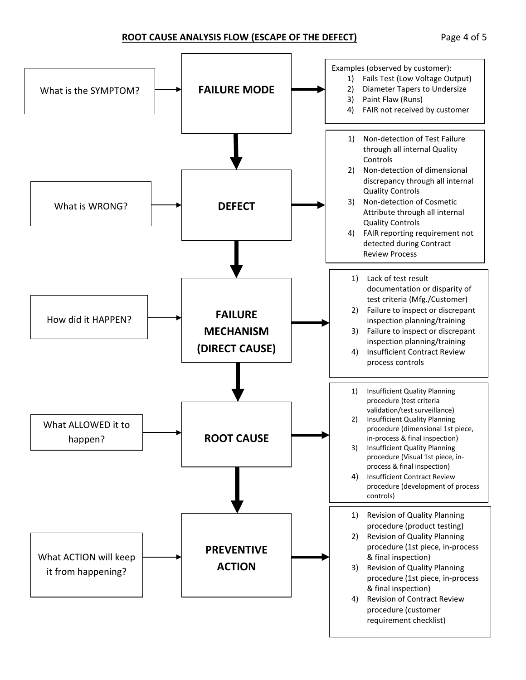#### **ROOT CAUSE ANALYSIS FLOW (ESCAPE OF THE DEFECT)** Page 4 of 5